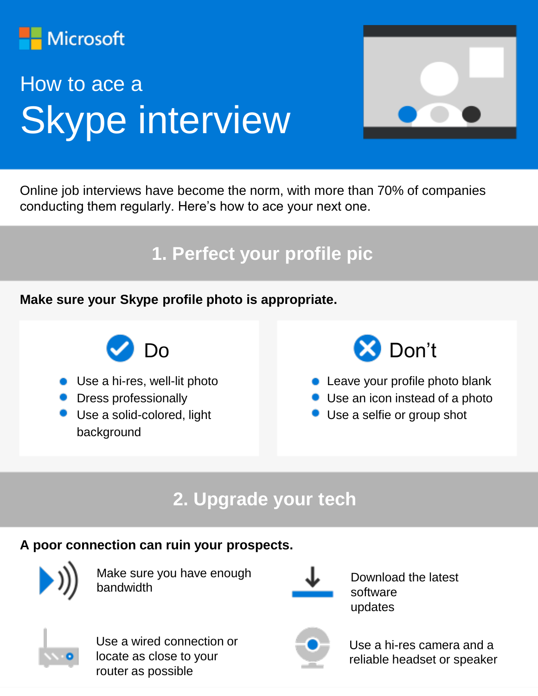

# How to ace a Skype interview



Online job interviews have become the norm, with more than 70% of companies conducting them regularly. Here's how to ace your next one.

#### **1. Perfect your profile pic**

**Make sure your Skype profile photo is appropriate.** 



- Use a hi-res, well-lit photo
- **•** Dress professionally
- **Use a solid-colored, light** background



- **Leave your profile photo blank** 
	- Use an icon instead of a photo
- Use a selfie or group shot

## **2. Upgrade your tech**

#### **A poor connection can ruin your prospects.**



Make sure you have enough bandwidth



Download the latest software updates



Use a wired connection or locate as close to your router as possible



Use a hi-res camera and a reliable headset or speaker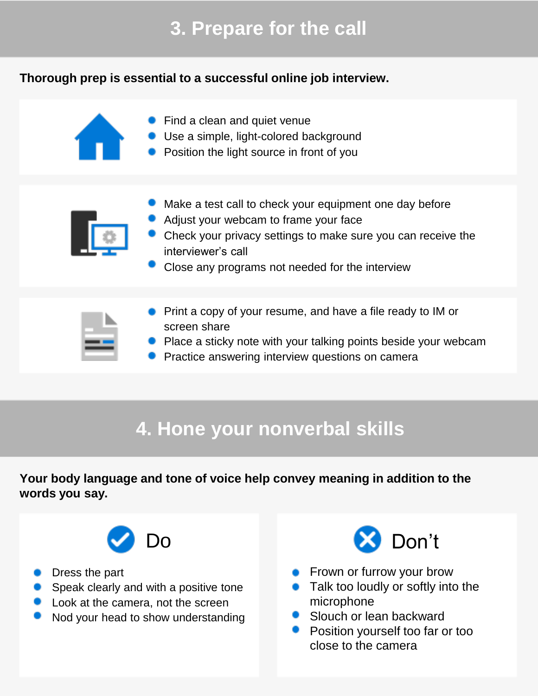## **3. Prepare for the call**

#### **Thorough prep is essential to a successful online job interview.**



- **•** Find a clean and quiet venue
- Use a simple, light-colored background
- **•** Position the light source in front of you



- Make a test call to check your equipment one day before
- Adjust your webcam to frame your face
- Check your privacy settings to make sure you can receive the interviewer's call
- Close any programs not needed for the interview



- **Print a copy of your resume, and have a file ready to IM or** screen share
- **P** Place a sticky note with your talking points beside your webcam
- **Practice answering interview questions on camera**

### **4. Hone your nonverbal skills**

**Your body language and tone of voice help convey meaning in addition to the words you say.**



- **Dress the part**
- **Speak clearly and with a positive tone**
- **Look at the camera, not the screen**
- Nod your head to show understanding



- **Frown or furrow your brow**
- Talk too loudly or softly into the microphone
- Slouch or lean backward
- **•** Position yourself too far or too close to the camera